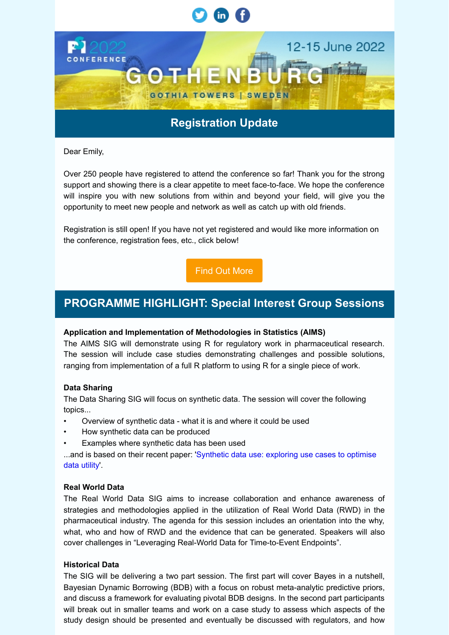

Dear Emily,

Over 250 people have registered to attend the conference so far! Thank you for the strong support and showing there is a clear appetite to meet face-to-face. We hope the conference will inspire you with new solutions from within and beyond your field, will give you the opportunity to meet new people and network as well as catch up with old friends.

Registration is still open! If you have not yet registered and would like more information on the conference, registration fees, etc., click below!

[Find Out More](https://psi.glueup.com/track/rd?type=campaign&lid=4&tracking_id=[trackingId]&redirect_url=https%3A%2F%2Fwww.psiweb.org%2Fconferences%2Fabout-the-conference&ts=1649674500&ps=T2FacFFBNytQc2hPY0djVVFsbXduSTg2UjVHd0dFRUVSY3duekhjT3BXWW9aMFNRQWVKbVEyZUZyd3l2RWFVZWdFOFlRYStwNGIydHR4b2FyK0JGTTQxbjg2Wktkakt2Q2VXUzRKT2FWclk9)

# **PROGRAMME HIGHLIGHT: Special Interest Group Sessions**

# **Application and Implementation of Methodologies in Statistics (AIMS)**

The AIMS SIG will demonstrate using R for regulatory work in pharmaceutical research. The session will include case studies demonstrating challenges and possible solutions, ranging from implementation of a full R platform to using R for a single piece of work.

# **Data Sharing**

The Data Sharing SIG will focus on synthetic data. The session will cover the following topics...

- Overview of synthetic data what it is and where it could be used
- How synthetic data can be produced
- Examples where synthetic data has been used

[...and is based on their recent paper: 'Synthetic data use: exploring use cases to optimise](https://psi.glueup.com/track/rd?type=campaign&lid=5&tracking_id=[trackingId]&redirect_url=https%3A%2F%2Flink.springer.com%2Farticle%2F10.1007%2Fs44163-021-00016-y%23citeas&ts=1649674500&ps=b2YxU2xMOFBkcVFvS21kME5uMUN6YUhaQXJENzNFUVphZFpSVFR6YTQwS3pGMVdoRUtnMjl1b2h4MVpyQUhBUmphVnpQdkVqbTlYWWV3NnBSZUpDTHZTNkFCUWFzaWlRRHJpd2hsT210RVc0ZzNFbkV5QmtCRUZZN3BCUmJmT00=) data utility'.

# **Real World Data**

The Real World Data SIG aims to increase collaboration and enhance awareness of strategies and methodologies applied in the utilization of Real World Data (RWD) in the pharmaceutical industry. The agenda for this session includes an orientation into the why, what, who and how of RWD and the evidence that can be generated. Speakers will also cover challenges in "Leveraging Real-World Data for Time-to-Event Endpoints".

# **Historical Data**

The SIG will be delivering a two part session. The first part will cover Bayes in a nutshell, Bayesian Dynamic Borrowing (BDB) with a focus on robust meta-analytic predictive priors, and discuss a framework for evaluating pivotal BDB designs. In the second part participants will break out in smaller teams and work on a case study to assess which aspects of the study design should be presented and eventually be discussed with regulators, and how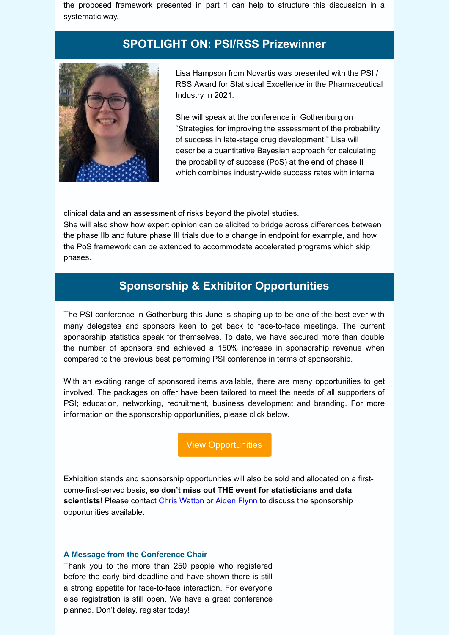the proposed framework presented in part 1 can help to structure this discussion in a systematic way.

# **SPOTLIGHT ON: PSI/RSS Prizewinner**



Lisa Hampson from Novartis was presented with the PSI / RSS Award for Statistical Excellence in the Pharmaceutical Industry in 2021.

She will speak at the conference in Gothenburg on "Strategies for improving the assessment of the probability of success in late-stage drug development." Lisa will describe a quantitative Bayesian approach for calculating the probability of success (PoS) at the end of phase II which combines industry-wide success rates with internal

clinical data and an assessment of risks beyond the pivotal studies.

She will also show how expert opinion can be elicited to bridge across differences between the phase IIb and future phase III trials due to a change in endpoint for example, and how the PoS framework can be extended to accommodate accelerated programs which skip phases.

# **Sponsorship & Exhibitor Opportunities**

The PSI conference in Gothenburg this June is shaping up to be one of the best ever with many delegates and sponsors keen to get back to face-to-face meetings. The current sponsorship statistics speak for themselves. To date, we have secured more than double the number of sponsors and achieved a 150% increase in sponsorship revenue when compared to the previous best performing PSI conference in terms of sponsorship.

With an exciting range of sponsored items available, there are many opportunities to get involved. The packages on offer have been tailored to meet the needs of all supporters of PSI; education, networking, recruitment, business development and branding. For more information on the sponsorship opportunities, please click below.

[View Opportunities](https://psi.glueup.com/track/rd?type=campaign&lid=6&tracking_id=[trackingId]&redirect_url=https%3A%2F%2Fwww.psiweb.org%2Fconferences%2Fsponsorship-opportunities&ts=1649674500&ps=T2FacFFBNytQc2hPY0djVVFsbXduSTg2UjVHd0dFRUVSY3duekhjT3BXWmhFS3V5UXlhd0Z4d2ZlUnVwZEJmLzJidExUeit0bjZ1ODFyYmhLOUlRMVJiSm9mS1c1NEpUckx0d1lrSHlFa2c9)

Exhibition stands and sponsorship opportunities will also be sold and allocated on a firstcome-first-served basis, **so don't miss out THE event for statisticians and data scientists**! Please contact [Chris Watton](mailto:psi@wattonhall.com) or [Aiden Flynn](mailto:aiden.flynn@exploristics.com) to discuss the sponsorship opportunities available.

#### **A Message from the Conference Chair**

Thank you to the more than 250 people who registered before the early bird deadline and have shown there is still a strong appetite for face-to-face interaction. For everyone else registration is still open. We have a great conference planned. Don't delay, register today!